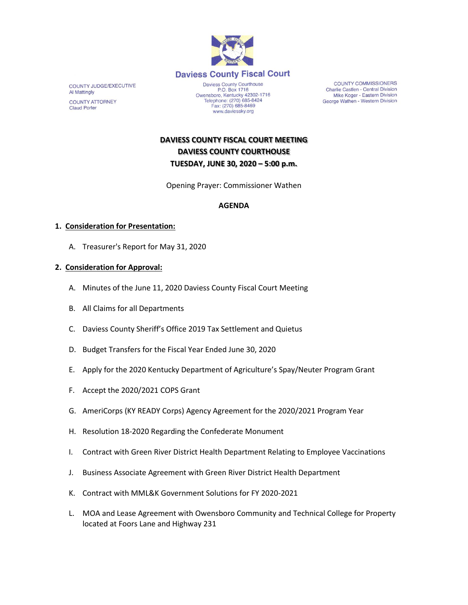

**COUNTY JUDGE/EXECUTIVE Al Mattingly COUNTY ATTORNEY Claud Porter** 

Daviess County Courthouse<br>P.O. Box 1716 Owensboro, Kentucky 42302-1716<br>Telephone: (270) 685-8424<br>Fax: (270) 685-8469 www.daviessky.org

**COUNTY COMMISSIONERS** Charlie Castlen - Central Division Mike Koger - Eastern Division George Wathen - Western Division

**DAVIESS COUNTY FISCAL COURT MEETING DAVIESS COUNTY COURTHOUSE TUESDAY, JUNE 30, 2020 – 5:00 p.m.** 

Opening Prayer: Commissioner Wathen

## **AGENDA**

## **1. Consideration for Presentation:**

A. Treasurer's Report for May 31, 2020

## **2. Consideration for Approval:**

- A. Minutes of the June 11, 2020 Daviess County Fiscal Court Meeting
- B. All Claims for all Departments
- C. Daviess County Sheriff's Office 2019 Tax Settlement and Quietus
- D. Budget Transfers for the Fiscal Year Ended June 30, 2020
- E. Apply for the 2020 Kentucky Department of Agriculture's Spay/Neuter Program Grant
- F. Accept the 2020/2021 COPS Grant
- G. AmeriCorps (KY READY Corps) Agency Agreement for the 2020/2021 Program Year
- H. Resolution 18-2020 Regarding the Confederate Monument
- I. Contract with Green River District Health Department Relating to Employee Vaccinations
- J. Business Associate Agreement with Green River District Health Department
- K. Contract with MML&K Government Solutions for FY 2020-2021
- L. MOA and Lease Agreement with Owensboro Community and Technical College for Property located at Foors Lane and Highway 231